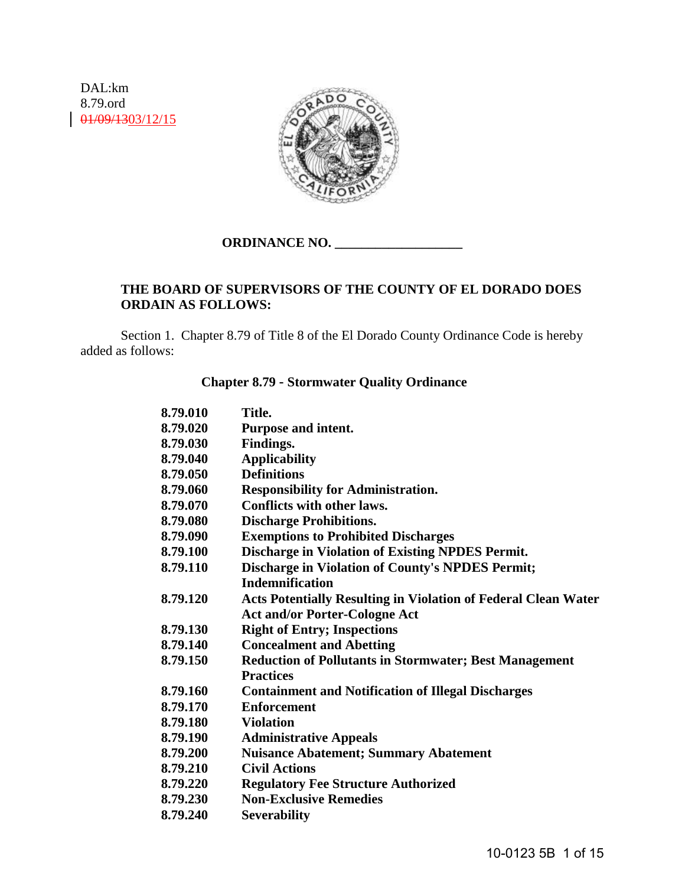DAL:km 8.79.ord 01/09/1303/12/15



# **ORDINANCE NO. \_\_\_\_\_\_\_\_\_\_\_\_\_\_\_\_\_\_\_**

# **THE BOARD OF SUPERVISORS OF THE COUNTY OF EL DORADO DOES ORDAIN AS FOLLOWS:**

 Section 1. Chapter 8.79 of Title 8 of the El Dorado County Ordinance Code is hereby added as follows:

## **Chapter 8.79** - **Stormwater Quality Ordinance**

| 8.79.010 | Title.                                                                |
|----------|-----------------------------------------------------------------------|
| 8.79.020 | Purpose and intent.                                                   |
| 8.79.030 | <b>Findings.</b>                                                      |
| 8.79.040 | <b>Applicability</b>                                                  |
| 8.79.050 | <b>Definitions</b>                                                    |
| 8.79.060 | <b>Responsibility for Administration.</b>                             |
| 8.79.070 | Conflicts with other laws.                                            |
| 8.79.080 | <b>Discharge Prohibitions.</b>                                        |
| 8.79.090 | <b>Exemptions to Prohibited Discharges</b>                            |
| 8.79.100 | <b>Discharge in Violation of Existing NPDES Permit.</b>               |
| 8.79.110 | <b>Discharge in Violation of County's NPDES Permit;</b>               |
|          | <b>Indemnification</b>                                                |
| 8.79.120 | <b>Acts Potentially Resulting in Violation of Federal Clean Water</b> |
|          | <b>Act and/or Porter-Cologne Act</b>                                  |
| 8.79.130 | <b>Right of Entry; Inspections</b>                                    |
| 8.79.140 | <b>Concealment and Abetting</b>                                       |
| 8.79.150 | <b>Reduction of Pollutants in Stormwater; Best Management</b>         |
|          | <b>Practices</b>                                                      |
| 8.79.160 | <b>Containment and Notification of Illegal Discharges</b>             |
| 8.79.170 | <b>Enforcement</b>                                                    |
| 8.79.180 | <b>Violation</b>                                                      |
| 8.79.190 | <b>Administrative Appeals</b>                                         |
| 8.79.200 | <b>Nuisance Abatement; Summary Abatement</b>                          |
| 8.79.210 | <b>Civil Actions</b>                                                  |
| 8.79.220 | <b>Regulatory Fee Structure Authorized</b>                            |
| 8.79.230 | <b>Non-Exclusive Remedies</b>                                         |
| 8.79.240 | <b>Severability</b>                                                   |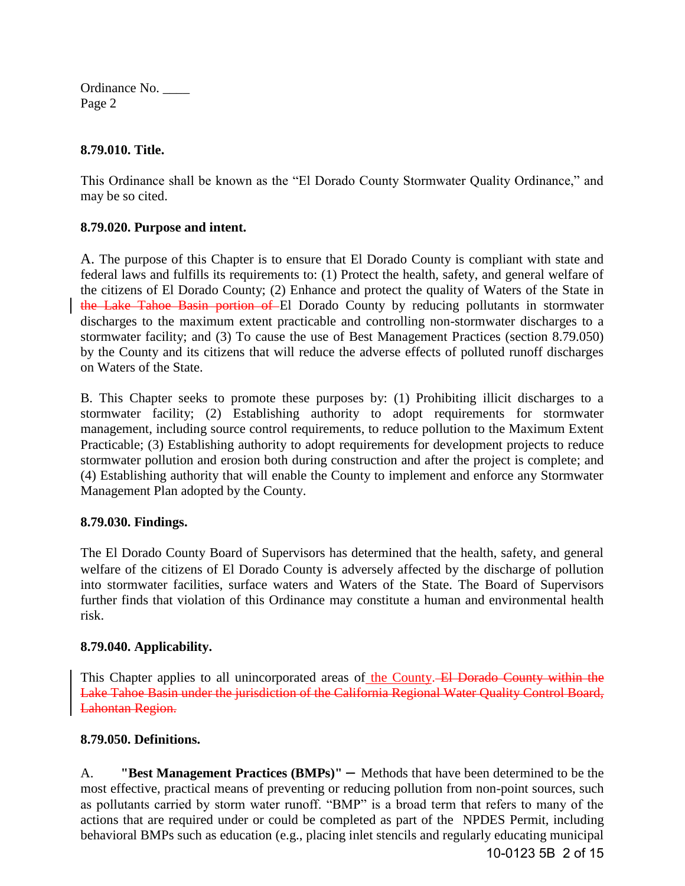## **8.79.010. Title.**

This Ordinance shall be known as the "El Dorado County Stormwater Quality Ordinance," and may be so cited.

# **8.79.020. Purpose and intent.**

A. The purpose of this Chapter is to ensure that El Dorado County is compliant with state and federal laws and fulfills its requirements to: (1) Protect the health, safety, and general welfare of the citizens of El Dorado County; (2) Enhance and protect the quality of Waters of the State in the Lake Tahoe Basin portion of El Dorado County by reducing pollutants in stormwater discharges to the maximum extent practicable and controlling non-stormwater discharges to a stormwater facility; and (3) To cause the use of Best Management Practices (section 8.79.050) by the County and its citizens that will reduce the adverse effects of polluted runoff discharges on Waters of the State.

B. This Chapter seeks to promote these purposes by: (1) Prohibiting illicit discharges to a stormwater facility; (2) Establishing authority to adopt requirements for stormwater management, including source control requirements, to reduce pollution to the Maximum Extent Practicable; (3) Establishing authority to adopt requirements for development projects to reduce stormwater pollution and erosion both during construction and after the project is complete; and (4) Establishing authority that will enable the County to implement and enforce any Stormwater Management Plan adopted by the County.

# **8.79.030. Findings.**

The El Dorado County Board of Supervisors has determined that the health, safety, and general welfare of the citizens of El Dorado County is adversely affected by the discharge of pollution into stormwater facilities, surface waters and Waters of the State. The Board of Supervisors further finds that violation of this Ordinance may constitute a human and environmental health risk.

## **8.79.040. Applicability.**

This Chapter applies to all unincorporated areas of the County. El Dorado County within the Lake Tahoe Basin under the jurisdiction of the California Regional Water Quality Control Board, Lahontan Region.

# **8.79.050. Definitions.**

A. **"Best Management Practices (BMPs)"** – Methods that have been determined to be the most effective, practical means of preventing or reducing pollution from non-point sources, such as pollutants carried by storm water runoff. "BMP" is a broad term that refers to many of the actions that are required under or could be completed as part of the NPDES Permit, including behavioral BMPs such as education (e.g., placing inlet stencils and regularly educating municipal 10-0123 5B 2 of 15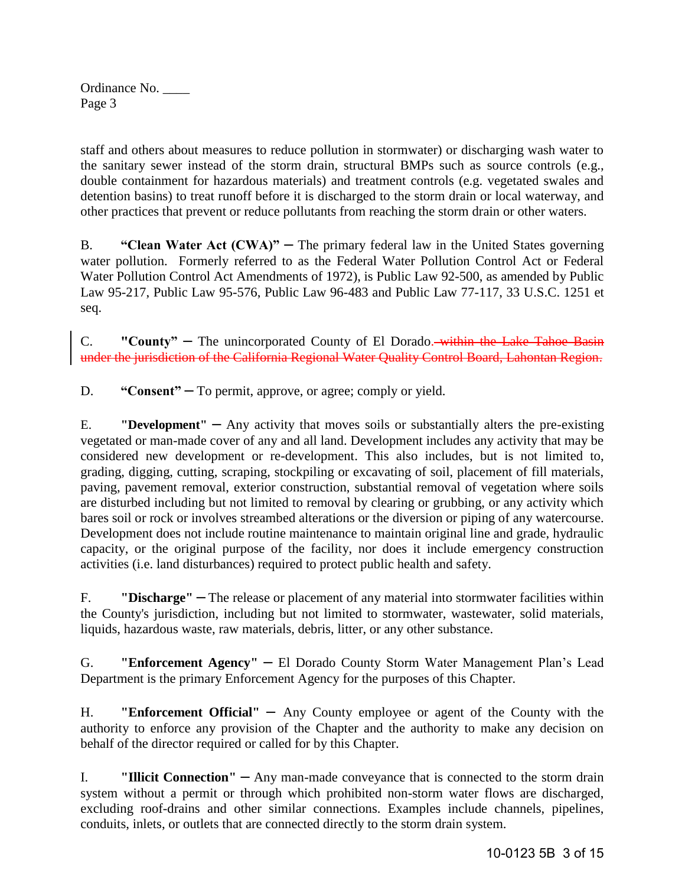staff and others about measures to reduce pollution in stormwater) or discharging wash water to the sanitary sewer instead of the storm drain, structural BMPs such as source controls (e.g., double containment for hazardous materials) and treatment controls (e.g. vegetated swales and detention basins) to treat runoff before it is discharged to the storm drain or local waterway, and other practices that prevent or reduce pollutants from reaching the storm drain or other waters.

B. **"Clean Water Act (CWA)"** – The primary [federal law](http://en.wikipedia.org/wiki/Federal_law) in the [United States](http://en.wikipedia.org/wiki/United_States) governing [water pollution.](http://en.wikipedia.org/wiki/Water_pollution) Formerly referred to as the Federal Water Pollution Control Act or Federal Water Pollution Control Act Amendments of 1972), is Public Law 92-500, as amended by Public Law 95-217, Public Law 95-576, Public Law 96-483 and Public Law 77-117, 33 U.S.C. 1251 et seq.

C. **"County"** – The unincorporated County of El Dorado. within the Lake Tahoe Basin under the jurisdiction of the California Regional Water Quality Control Board, Lahontan Region.

D. **"Consent"** – To permit, approve, or agree; comply or yield.

E. **"Development"** – Any activity that moves soils or substantially alters the pre-existing vegetated or man-made cover of any and all land. Development includes any activity that may be considered new development or re-development. This also includes, but is not limited to, grading, digging, cutting, scraping, stockpiling or excavating of soil, placement of fill materials, paving, pavement removal, exterior construction, substantial removal of vegetation where soils are disturbed including but not limited to removal by clearing or grubbing, or any activity which bares soil or rock or involves streambed alterations or the diversion or piping of any watercourse. Development does not include routine maintenance to maintain original line and grade, hydraulic capacity, or the original purpose of the facility, nor does it include emergency construction activities (i.e. land disturbances) required to protect public health and safety.

F. **"Discharge"** – The release or placement of any material into stormwater facilities within the County's jurisdiction, including but not limited to stormwater, wastewater, solid materials, liquids, hazardous waste, raw materials, debris, litter, or any other substance.

G. **"Enforcement Agency"** – El Dorado County Storm Water Management Plan's Lead Department is the primary Enforcement Agency for the purposes of this Chapter.

H. **"Enforcement Official"** – Any County employee or agent of the County with the authority to enforce any provision of the Chapter and the authority to make any decision on behalf of the director required or called for by this Chapter.

I. **"Illicit Connection"** — Any man-made conveyance that is connected to the storm drain system without a permit or through which prohibited non-storm water flows are discharged, excluding roof-drains and other similar connections. Examples include channels, pipelines, conduits, inlets, or outlets that are connected directly to the storm drain system.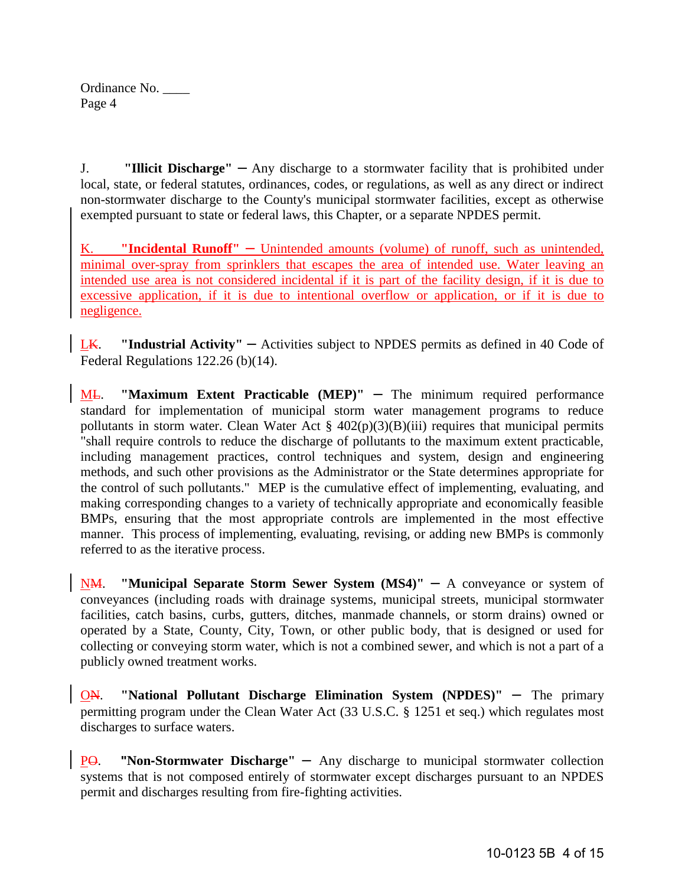| Ordinance No. |  |
|---------------|--|
| Page 4        |  |

J. **"Illicit Discharge"** – Any discharge to a stormwater facility that is prohibited under local, state, or federal statutes, ordinances, codes, or regulations, as well as any direct or indirect non-stormwater discharge to the County's municipal stormwater facilities, except as otherwise exempted pursuant to state or federal laws, this Chapter, or a separate NPDES permit.

K. **"Incidental Runoff"** – Unintended amounts (volume) of runoff, such as unintended, minimal over-spray from sprinklers that escapes the area of intended use. Water leaving an intended use area is not considered incidental if it is part of the facility design, if it is due to excessive application, if it is due to intentional overflow or application, or if it is due to negligence.

LK. **"Industrial Activity"** – Activities subject to NPDES permits as defined in 40 Code of Federal Regulations 122.26 (b)(14).

ML. "Maximum Extent Practicable (MEP)" – The minimum required performance standard for implementation of municipal storm water management programs to reduce pollutants in storm water. Clean Water Act  $\S$  402(p)(3)(B)(iii) requires that municipal permits "shall require controls to reduce the discharge of pollutants to the maximum extent practicable, including management practices, control techniques and system, design and engineering methods, and such other provisions as the Administrator or the State determines appropriate for the control of such pollutants." MEP is the cumulative effect of implementing, evaluating, and making corresponding changes to a variety of technically appropriate and economically feasible BMPs, ensuring that the most appropriate controls are implemented in the most effective manner. This process of implementing, evaluating, revising, or adding new BMPs is commonly referred to as the iterative process.

NM. **"Municipal Separate Storm Sewer System (MS4)"** – A conveyance or system of conveyances (including roads with drainage systems, municipal streets, municipal stormwater facilities, catch basins, curbs, gutters, ditches, manmade channels, or storm drains) owned or operated by a State, County, City, Town, or other public body, that is designed or used for collecting or conveying storm water, which is not a combined sewer, and which is not a part of a publicly owned treatment works.

ON. **"National Pollutant Discharge Elimination System (NPDES)"** – The primary permitting program under the Clean Water Act (33 U.S.C. § 1251 et seq.) which regulates most discharges to surface waters.

PO. **"Non-Stormwater Discharge"** – Any discharge to municipal stormwater collection systems that is not composed entirely of stormwater except discharges pursuant to an NPDES permit and discharges resulting from fire-fighting activities.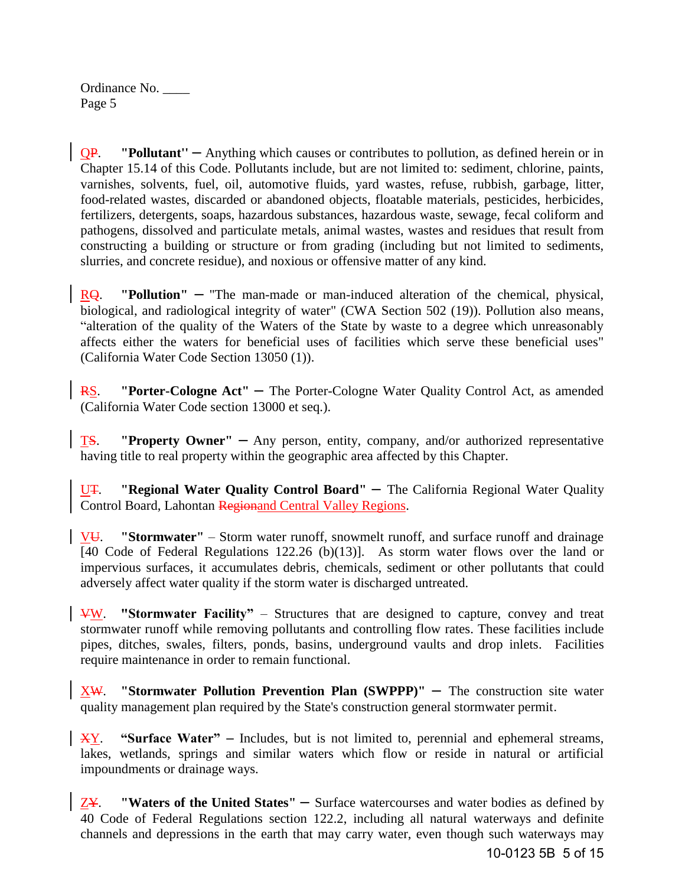QP. **"Pollutant''** – Anything which causes or contributes to pollution, as defined herein or in Chapter 15.14 of this Code. Pollutants include, but are not limited to: sediment, chlorine, paints, varnishes, solvents, fuel, oil, automotive fluids, yard wastes, refuse, rubbish, garbage, litter, food-related wastes, discarded or abandoned objects, floatable materials, pesticides, herbicides, fertilizers, detergents, soaps, hazardous substances, hazardous waste, sewage, fecal coliform and pathogens, dissolved and particulate metals, animal wastes, wastes and residues that result from constructing a building or structure or from grading (including but not limited to sediments, slurries, and concrete residue), and noxious or offensive matter of any kind.

RQ. **"Pollution"** – "The man-made or man-induced alteration of the chemical, physical, biological, and radiological integrity of water" (CWA Section 502 (19)). Pollution also means, "alteration of the quality of the Waters of the State by waste to a degree which unreasonably affects either the waters for beneficial uses of facilities which serve these beneficial uses" (California Water Code Section 13050 (1)).

**RS.** "Porter-Cologne Act" – The Porter-Cologne Water Quality Control Act, as amended (California Water Code section 13000 et seq.).

TS. **"Property Owner"** – Any person, entity, company, and/or authorized representative having title to real property within the geographic area affected by this Chapter.

U<del>T</del>. "Regional Water Quality Control Board" – The California Regional Water Quality Control Board, Lahontan Regionand Central Valley Regions.

VU. **"Stormwater"** – Storm water runoff, snowmelt runoff, and surface runoff and drainage [40 Code of Federal Regulations 122.26 (b)(13)]. As storm water flows over the land or impervious surfaces, it accumulates debris, chemicals, sediment or other pollutants that could adversely affect water quality if the storm water is discharged untreated.

VW. **"Stormwater Facility"** – Structures that are designed to capture, convey and treat stormwater runoff while removing pollutants and controlling flow rates. These facilities include pipes, ditches, swales, filters, ponds, basins, underground vaults and drop inlets. Facilities require maintenance in order to remain functional.

XW. **"Stormwater Pollution Prevention Plan (SWPPP)"** – The construction site water quality management plan required by the State's construction general stormwater permit.

XY. **"Surface Water"** – Includes, but is not limited to, perennial and ephemeral streams, lakes, wetlands, springs and similar waters which flow or reside in natural or artificial impoundments or drainage ways.

ZY. **"Waters of the United States"** – Surface watercourses and water bodies as defined by 40 Code of Federal Regulations section 122.2, including all natural waterways and definite channels and depressions in the earth that may carry water, even though such waterways may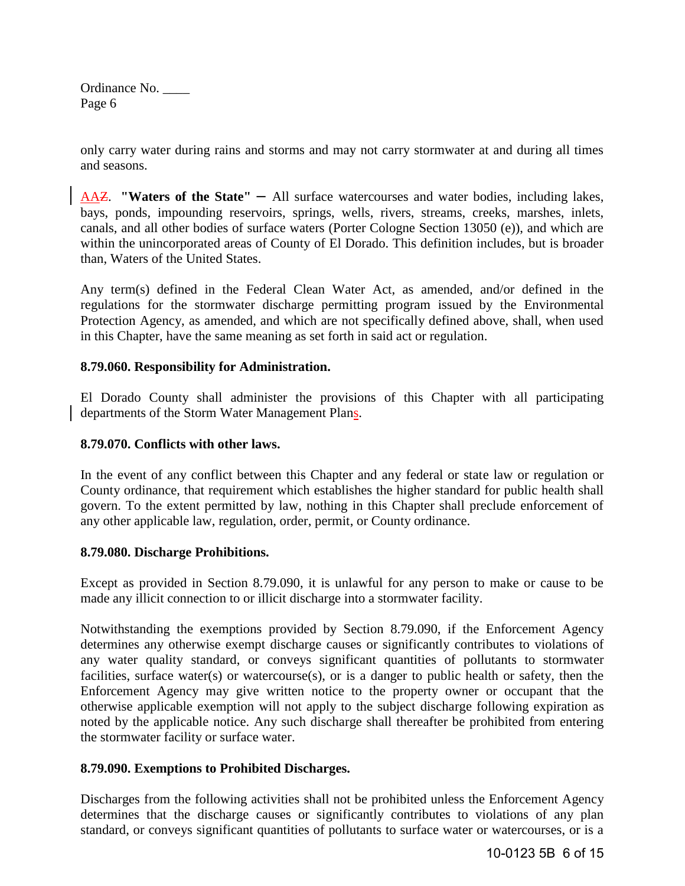only carry water during rains and storms and may not carry stormwater at and during all times and seasons.

AAZ. **"Waters of the State"** – All surface watercourses and water bodies, including lakes, bays, ponds, impounding reservoirs, springs, wells, rivers, streams, creeks, marshes, inlets, canals, and all other bodies of surface waters (Porter Cologne Section 13050 (e)), and which are within the unincorporated areas of County of El Dorado. This definition includes, but is broader than, Waters of the United States.

Any term(s) defined in the Federal Clean Water Act, as amended, and/or defined in the regulations for the stormwater discharge permitting program issued by the Environmental Protection Agency, as amended, and which are not specifically defined above, shall, when used in this Chapter, have the same meaning as set forth in said act or regulation.

## **8.79.060. Responsibility for Administration.**

El Dorado County shall administer the provisions of this Chapter with all participating departments of the Storm Water Management Plans.

## **8.79.070. Conflicts with other laws.**

In the event of any conflict between this Chapter and any federal or state law or regulation or County ordinance, that requirement which establishes the higher standard for public health shall govern. To the extent permitted by law, nothing in this Chapter shall preclude enforcement of any other applicable law, regulation, order, permit, or County ordinance.

## **8.79.080. Discharge Prohibitions.**

Except as provided in Section 8.79.090, it is unlawful for any person to make or cause to be made any illicit connection to or illicit discharge into a stormwater facility.

Notwithstanding the exemptions provided by Section 8.79.090, if the Enforcement Agency determines any otherwise exempt discharge causes or significantly contributes to violations of any water quality standard, or conveys significant quantities of pollutants to stormwater facilities, surface water(s) or watercourse(s), or is a danger to public health or safety, then the Enforcement Agency may give written notice to the property owner or occupant that the otherwise applicable exemption will not apply to the subject discharge following expiration as noted by the applicable notice. Any such discharge shall thereafter be prohibited from entering the stormwater facility or surface water.

# **8.79.090. Exemptions to Prohibited Discharges.**

Discharges from the following activities shall not be prohibited unless the Enforcement Agency determines that the discharge causes or significantly contributes to violations of any plan standard, or conveys significant quantities of pollutants to surface water or watercourses, or is a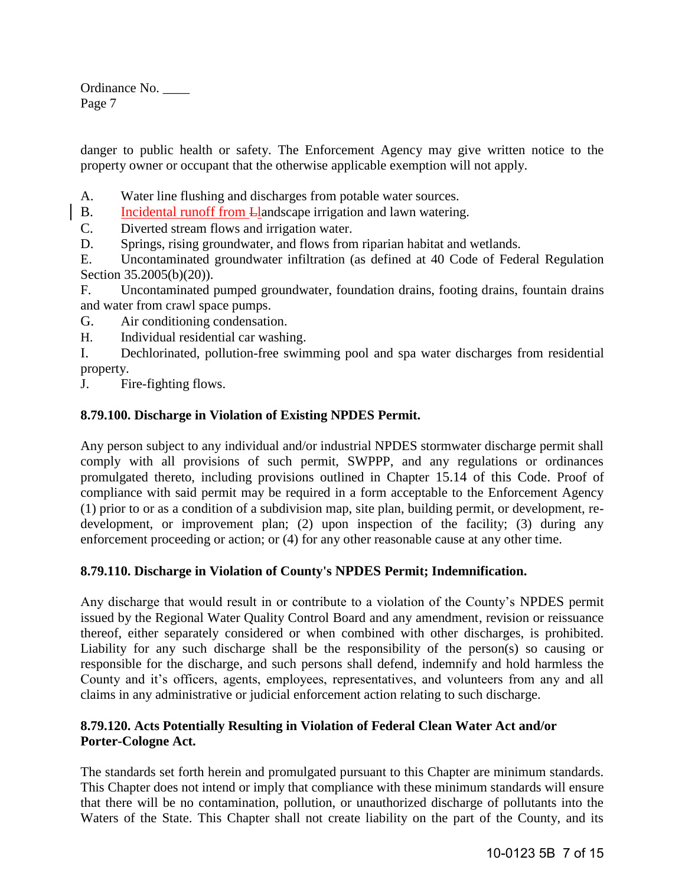danger to public health or safety. The Enforcement Agency may give written notice to the property owner or occupant that the otherwise applicable exemption will not apply.

- A. Water line flushing and discharges from potable water sources.
- B. Incidental runoff from Llandscape irrigation and lawn watering.
- C. Diverted stream flows and irrigation water.
- D. Springs, rising groundwater, and flows from riparian habitat and wetlands.

E. Uncontaminated groundwater infiltration (as defined at 40 Code of Federal Regulation Section 35.2005(b)(20)).

F. Uncontaminated pumped groundwater, foundation drains, footing drains, fountain drains and water from crawl space pumps.

- G. Air conditioning condensation.
- H. Individual residential car washing.
- I. Dechlorinated, pollution-free swimming pool and spa water discharges from residential property.

J. Fire-fighting flows.

# **8.79.100. Discharge in Violation of Existing NPDES Permit.**

Any person subject to any individual and/or industrial NPDES stormwater discharge permit shall comply with all provisions of such permit, SWPPP, and any regulations or ordinances promulgated thereto, including provisions outlined in Chapter 15.14 of this Code. Proof of compliance with said permit may be required in a form acceptable to the Enforcement Agency (1) prior to or as a condition of a subdivision map, site plan, building permit, or development, redevelopment, or improvement plan; (2) upon inspection of the facility; (3) during any enforcement proceeding or action; or (4) for any other reasonable cause at any other time.

# **8.79.110. Discharge in Violation of County's NPDES Permit; Indemnification.**

Any discharge that would result in or contribute to a violation of the County's NPDES permit issued by the Regional Water Quality Control Board and any amendment, revision or reissuance thereof, either separately considered or when combined with other discharges, is prohibited. Liability for any such discharge shall be the responsibility of the person(s) so causing or responsible for the discharge, and such persons shall defend, indemnify and hold harmless the County and it's officers, agents, employees, representatives, and volunteers from any and all claims in any administrative or judicial enforcement action relating to such discharge.

# **8.79.120. Acts Potentially Resulting in Violation of Federal Clean Water Act and/or Porter-Cologne Act.**

The standards set forth herein and promulgated pursuant to this Chapter are minimum standards. This Chapter does not intend or imply that compliance with these minimum standards will ensure that there will be no contamination, pollution, or unauthorized discharge of pollutants into the Waters of the State. This Chapter shall not create liability on the part of the County, and its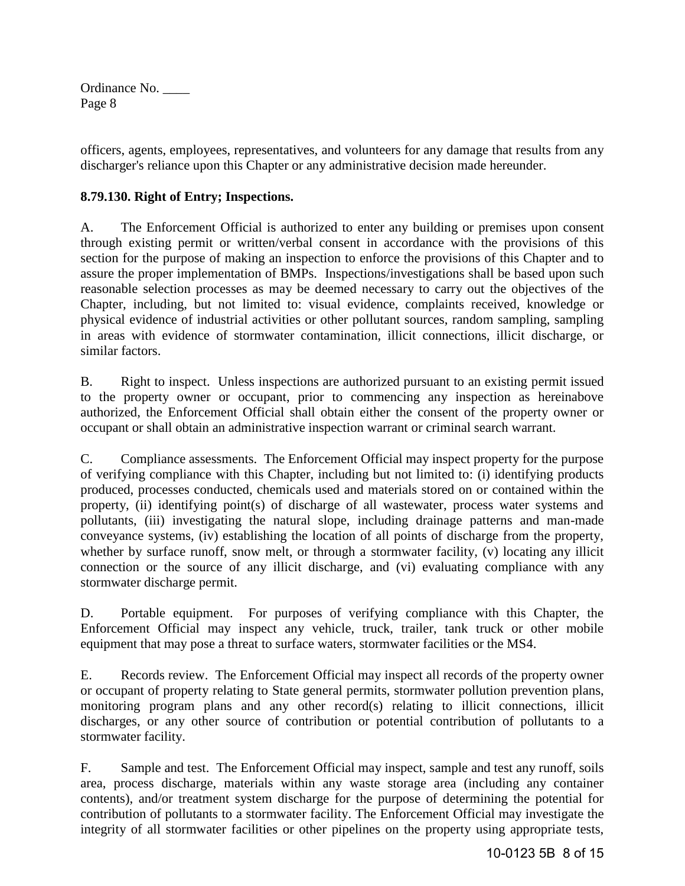officers, agents, employees, representatives, and volunteers for any damage that results from any discharger's reliance upon this Chapter or any administrative decision made hereunder.

# **8.79.130. Right of Entry; Inspections.**

A. The Enforcement Official is authorized to enter any building or premises upon consent through existing permit or written/verbal consent in accordance with the provisions of this section for the purpose of making an inspection to enforce the provisions of this Chapter and to assure the proper implementation of BMPs. Inspections/investigations shall be based upon such reasonable selection processes as may be deemed necessary to carry out the objectives of the Chapter, including, but not limited to: visual evidence, complaints received, knowledge or physical evidence of industrial activities or other pollutant sources, random sampling, sampling in areas with evidence of stormwater contamination, illicit connections, illicit discharge, or similar factors.

B. Right to inspect. Unless inspections are authorized pursuant to an existing permit issued to the property owner or occupant, prior to commencing any inspection as hereinabove authorized, the Enforcement Official shall obtain either the consent of the property owner or occupant or shall obtain an administrative inspection warrant or criminal search warrant.

C. Compliance assessments. The Enforcement Official may inspect property for the purpose of verifying compliance with this Chapter, including but not limited to: (i) identifying products produced, processes conducted, chemicals used and materials stored on or contained within the property, (ii) identifying point(s) of discharge of all wastewater, process water systems and pollutants, (iii) investigating the natural slope, including drainage patterns and man-made conveyance systems, (iv) establishing the location of all points of discharge from the property, whether by surface runoff, snow melt, or through a stormwater facility, (v) locating any illicit connection or the source of any illicit discharge, and (vi) evaluating compliance with any stormwater discharge permit.

D. Portable equipment. For purposes of verifying compliance with this Chapter, the Enforcement Official may inspect any vehicle, truck, trailer, tank truck or other mobile equipment that may pose a threat to surface waters, stormwater facilities or the MS4.

E. Records review. The Enforcement Official may inspect all records of the property owner or occupant of property relating to State general permits, stormwater pollution prevention plans, monitoring program plans and any other record(s) relating to illicit connections, illicit discharges, or any other source of contribution or potential contribution of pollutants to a stormwater facility.

F. Sample and test. The Enforcement Official may inspect, sample and test any runoff, soils area, process discharge, materials within any waste storage area (including any container contents), and/or treatment system discharge for the purpose of determining the potential for contribution of pollutants to a stormwater facility. The Enforcement Official may investigate the integrity of all stormwater facilities or other pipelines on the property using appropriate tests,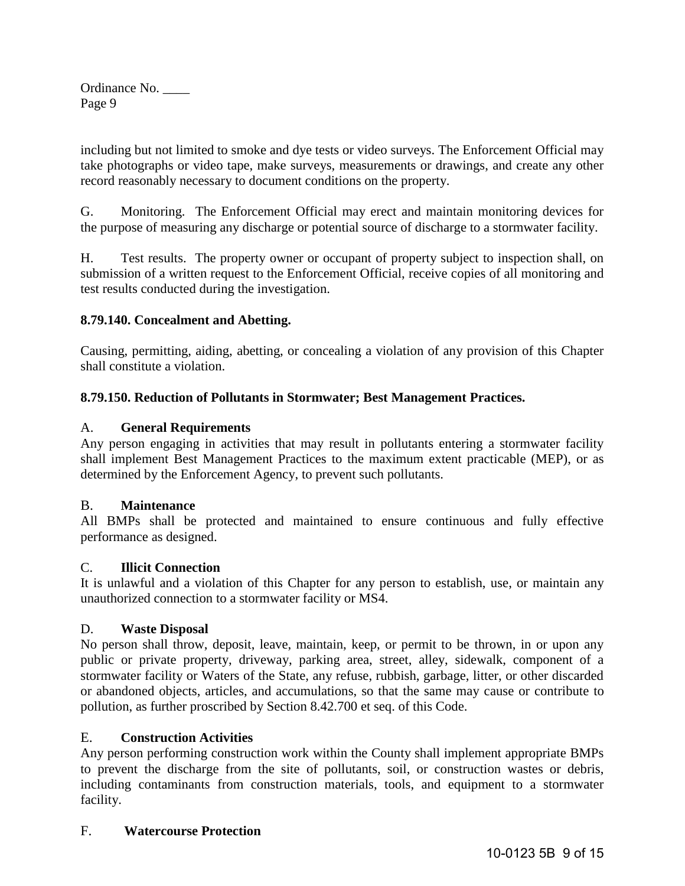including but not limited to smoke and dye tests or video surveys. The Enforcement Official may take photographs or video tape, make surveys, measurements or drawings, and create any other record reasonably necessary to document conditions on the property.

G. Monitoring. The Enforcement Official may erect and maintain monitoring devices for the purpose of measuring any discharge or potential source of discharge to a stormwater facility.

H. Test results. The property owner or occupant of property subject to inspection shall, on submission of a written request to the Enforcement Official, receive copies of all monitoring and test results conducted during the investigation.

# **8.79.140. Concealment and Abetting.**

Causing, permitting, aiding, abetting, or concealing a violation of any provision of this Chapter shall constitute a violation.

# **8.79.150. Reduction of Pollutants in Stormwater; Best Management Practices.**

# A. **General Requirements**

Any person engaging in activities that may result in pollutants entering a stormwater facility shall implement Best Management Practices to the maximum extent practicable (MEP), or as determined by the Enforcement Agency, to prevent such pollutants.

# B. **Maintenance**

All BMPs shall be protected and maintained to ensure continuous and fully effective performance as designed.

# C. **Illicit Connection**

It is unlawful and a violation of this Chapter for any person to establish, use, or maintain any unauthorized connection to a stormwater facility or MS4.

# D. **Waste Disposal**

No person shall throw, deposit, leave, maintain, keep, or permit to be thrown, in or upon any public or private property, driveway, parking area, street, alley, sidewalk, component of a stormwater facility or Waters of the State, any refuse, rubbish, garbage, litter, or other discarded or abandoned objects, articles, and accumulations, so that the same may cause or contribute to pollution, as further proscribed by Section 8.42.700 et seq. of this Code.

# E. **Construction Activities**

Any person performing construction work within the County shall implement appropriate BMPs to prevent the discharge from the site of pollutants, soil, or construction wastes or debris, including contaminants from construction materials, tools, and equipment to a stormwater facility.

# F. **Watercourse Protection**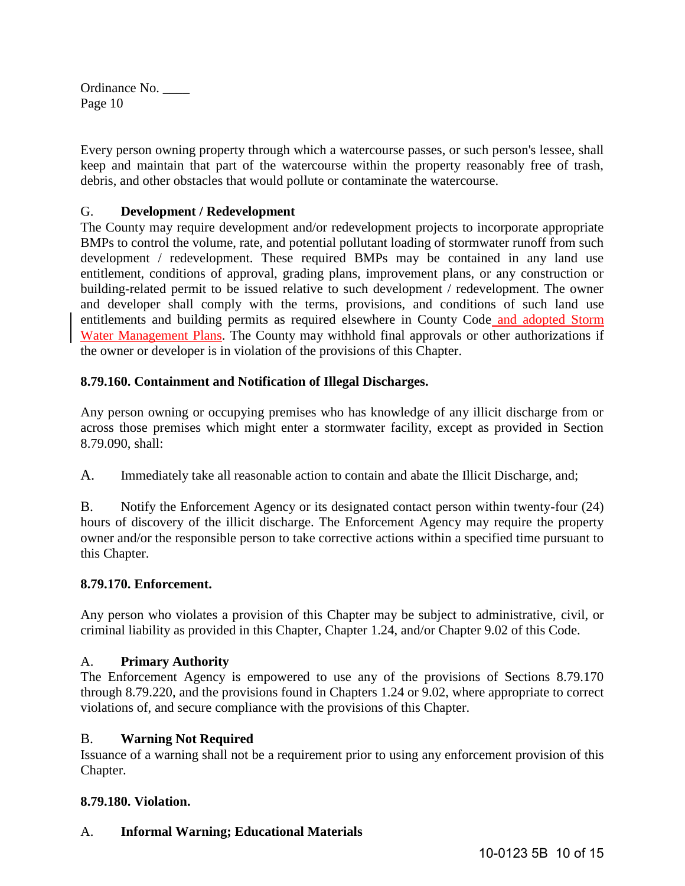Every person owning property through which a watercourse passes, or such person's lessee, shall keep and maintain that part of the watercourse within the property reasonably free of trash, debris, and other obstacles that would pollute or contaminate the watercourse.

# G. **Development / Redevelopment**

The County may require development and/or redevelopment projects to incorporate appropriate BMPs to control the volume, rate, and potential pollutant loading of stormwater runoff from such development / redevelopment. These required BMPs may be contained in any land use entitlement, conditions of approval, grading plans, improvement plans, or any construction or building-related permit to be issued relative to such development / redevelopment. The owner and developer shall comply with the terms, provisions, and conditions of such land use entitlements and building permits as required elsewhere in County Code and adopted Storm Water Management Plans. The County may withhold final approvals or other authorizations if the owner or developer is in violation of the provisions of this Chapter.

## **8.79.160. Containment and Notification of Illegal Discharges.**

Any person owning or occupying premises who has knowledge of any illicit discharge from or across those premises which might enter a stormwater facility, except as provided in Section 8.79.090, shall:

A. Immediately take all reasonable action to contain and abate the Illicit Discharge, and;

B. Notify the Enforcement Agency or its designated contact person within twenty-four (24) hours of discovery of the illicit discharge. The Enforcement Agency may require the property owner and/or the responsible person to take corrective actions within a specified time pursuant to this Chapter.

## **8.79.170. Enforcement.**

Any person who violates a provision of this Chapter may be subject to administrative, civil, or criminal liability as provided in this Chapter, Chapter 1.24, and/or Chapter 9.02 of this Code.

## A. **Primary Authority**

The Enforcement Agency is empowered to use any of the provisions of Sections 8.79.170 through 8.79.220, and the provisions found in Chapters 1.24 or 9.02, where appropriate to correct violations of, and secure compliance with the provisions of this Chapter.

## B. **Warning Not Required**

Issuance of a warning shall not be a requirement prior to using any enforcement provision of this Chapter.

## **8.79.180. Violation.**

# A. **Informal Warning; Educational Materials**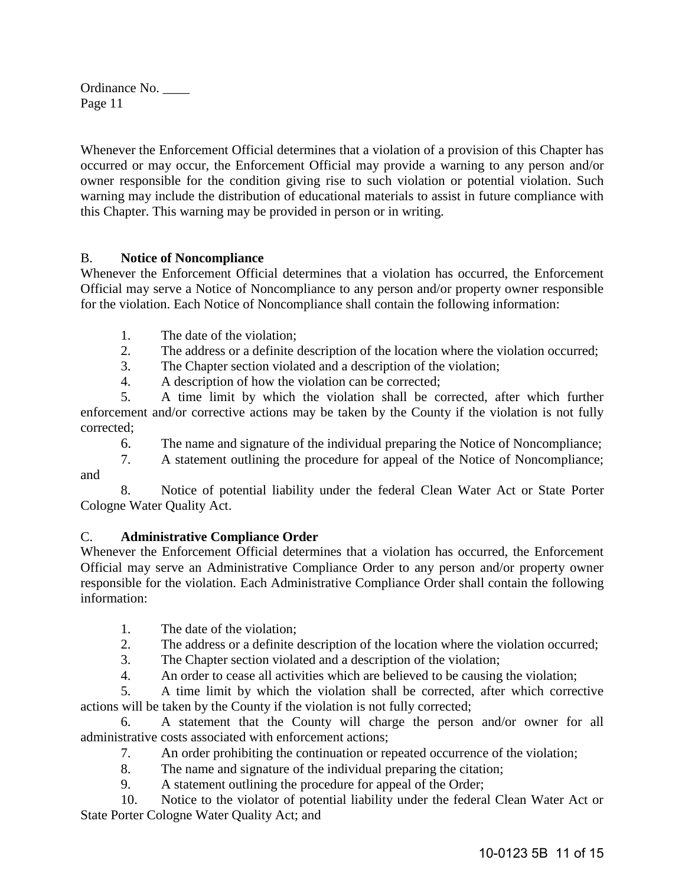Whenever the Enforcement Official determines that a violation of a provision of this Chapter has occurred or may occur, the Enforcement Official may provide a warning to any person and/or owner responsible for the condition giving rise to such violation or potential violation. Such warning may include the distribution of educational materials to assist in future compliance with this Chapter. This warning may be provided in person or in writing.

# B. **Notice of Noncompliance**

Whenever the Enforcement Official determines that a violation has occurred, the Enforcement Official may serve a Notice of Noncompliance to any person and/or property owner responsible for the violation. Each Notice of Noncompliance shall contain the following information:

- 1. The date of the violation;
- 2. The address or a definite description of the location where the violation occurred;
- 3. The Chapter section violated and a description of the violation;

4. A description of how the violation can be corrected;

 5. A time limit by which the violation shall be corrected, after which further enforcement and/or corrective actions may be taken by the County if the violation is not fully corrected;

6. The name and signature of the individual preparing the Notice of Noncompliance;

 7. A statement outlining the procedure for appeal of the Notice of Noncompliance; and

 8. Notice of potential liability under the federal Clean Water Act or State Porter Cologne Water Quality Act.

# C. **Administrative Compliance Order**

Whenever the Enforcement Official determines that a violation has occurred, the Enforcement Official may serve an Administrative Compliance Order to any person and/or property owner responsible for the violation. Each Administrative Compliance Order shall contain the following information:

- 1. The date of the violation;
- 2. The address or a definite description of the location where the violation occurred;
- 3. The Chapter section violated and a description of the violation;
- 4. An order to cease all activities which are believed to be causing the violation;

 5. A time limit by which the violation shall be corrected, after which corrective actions will be taken by the County if the violation is not fully corrected;

 6. A statement that the County will charge the person and/or owner for all administrative costs associated with enforcement actions;

- 7. An order prohibiting the continuation or repeated occurrence of the violation;
- 8. The name and signature of the individual preparing the citation;
- 9. A statement outlining the procedure for appeal of the Order;

 10. Notice to the violator of potential liability under the federal Clean Water Act or State Porter Cologne Water Quality Act; and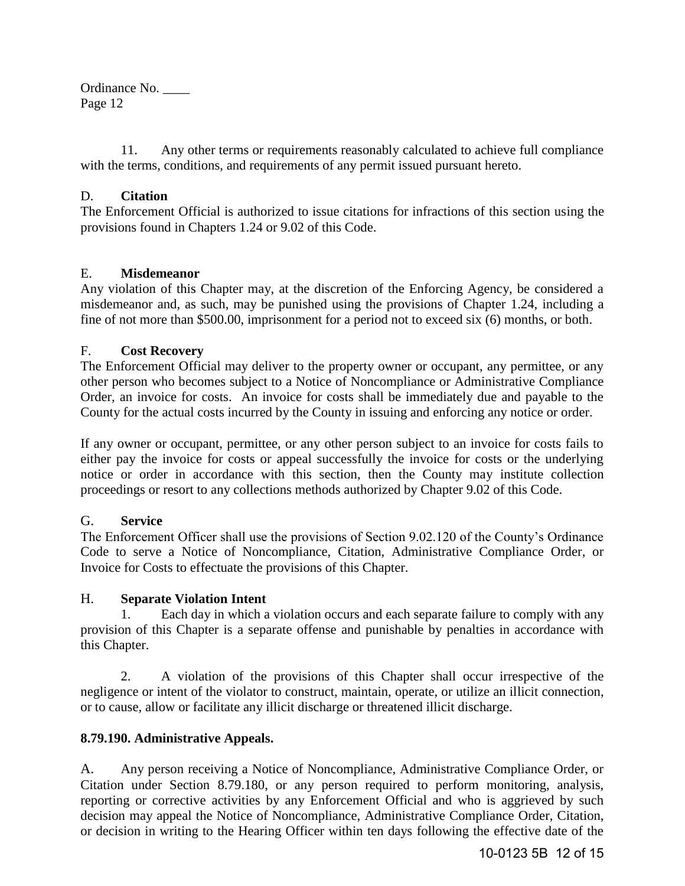11. Any other terms or requirements reasonably calculated to achieve full compliance with the terms, conditions, and requirements of any permit issued pursuant hereto.

## D. **Citation**

The Enforcement Official is authorized to issue citations for infractions of this section using the provisions found in Chapters 1.24 or 9.02 of this Code.

## E. **Misdemeanor**

Any violation of this Chapter may, at the discretion of the Enforcing Agency, be considered a misdemeanor and, as such, may be punished using the provisions of Chapter 1.24, including a fine of not more than \$500.00, imprisonment for a period not to exceed six (6) months, or both.

## F. **Cost Recovery**

The Enforcement Official may deliver to the property owner or occupant, any permittee, or any other person who becomes subject to a Notice of Noncompliance or Administrative Compliance Order, an invoice for costs. An invoice for costs shall be immediately due and payable to the County for the actual costs incurred by the County in issuing and enforcing any notice or order.

If any owner or occupant, permittee, or any other person subject to an invoice for costs fails to either pay the invoice for costs or appeal successfully the invoice for costs or the underlying notice or order in accordance with this section, then the County may institute collection proceedings or resort to any collections methods authorized by Chapter 9.02 of this Code.

## G. **Service**

The Enforcement Officer shall use the provisions of Section 9.02.120 of the County's Ordinance Code to serve a Notice of Noncompliance, Citation, Administrative Compliance Order, or Invoice for Costs to effectuate the provisions of this Chapter.

## H. **Separate Violation Intent**

 1. Each day in which a violation occurs and each separate failure to comply with any provision of this Chapter is a separate offense and punishable by penalties in accordance with this Chapter.

 2. A violation of the provisions of this Chapter shall occur irrespective of the negligence or intent of the violator to construct, maintain, operate, or utilize an illicit connection, or to cause, allow or facilitate any illicit discharge or threatened illicit discharge.

# **8.79.190. Administrative Appeals.**

A. Any person receiving a Notice of Noncompliance, Administrative Compliance Order, or Citation under Section 8.79.180, or any person required to perform monitoring, analysis, reporting or corrective activities by any Enforcement Official and who is aggrieved by such decision may appeal the Notice of Noncompliance, Administrative Compliance Order, Citation, or decision in writing to the Hearing Officer within ten days following the effective date of the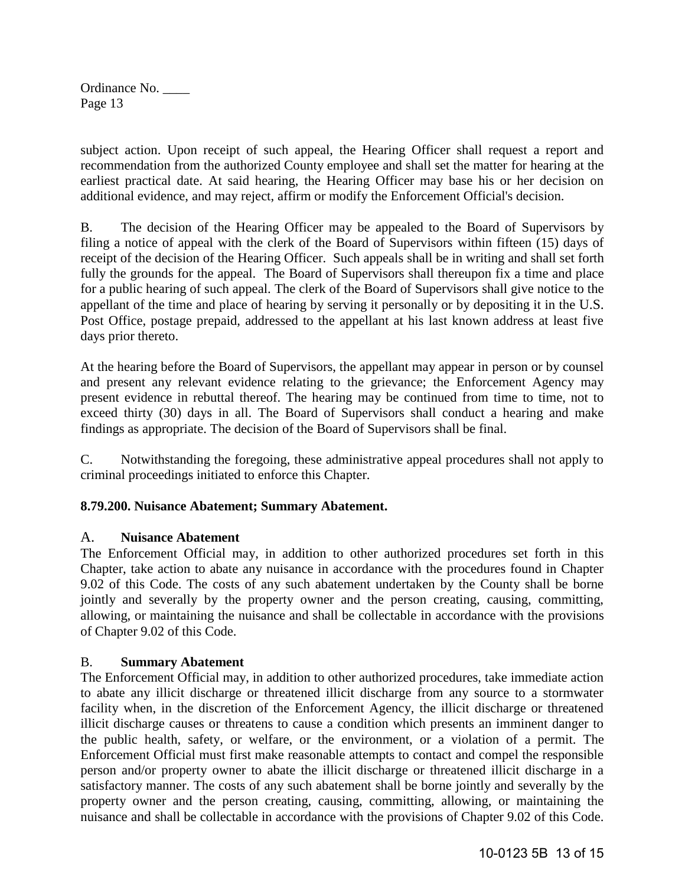subject action. Upon receipt of such appeal, the Hearing Officer shall request a report and recommendation from the authorized County employee and shall set the matter for hearing at the earliest practical date. At said hearing, the Hearing Officer may base his or her decision on additional evidence, and may reject, affirm or modify the Enforcement Official's decision.

B. The decision of the Hearing Officer may be appealed to the Board of Supervisors by filing a notice of appeal with the clerk of the Board of Supervisors within fifteen (15) days of receipt of the decision of the Hearing Officer. Such appeals shall be in writing and shall set forth fully the grounds for the appeal. The Board of Supervisors shall thereupon fix a time and place for a public hearing of such appeal. The clerk of the Board of Supervisors shall give notice to the appellant of the time and place of hearing by serving it personally or by depositing it in the U.S. Post Office, postage prepaid, addressed to the appellant at his last known address at least five days prior thereto.

At the hearing before the Board of Supervisors, the appellant may appear in person or by counsel and present any relevant evidence relating to the grievance; the Enforcement Agency may present evidence in rebuttal thereof. The hearing may be continued from time to time, not to exceed thirty (30) days in all. The Board of Supervisors shall conduct a hearing and make findings as appropriate. The decision of the Board of Supervisors shall be final.

C. Notwithstanding the foregoing, these administrative appeal procedures shall not apply to criminal proceedings initiated to enforce this Chapter.

# **8.79.200. Nuisance Abatement; Summary Abatement.**

# A. **Nuisance Abatement**

The Enforcement Official may, in addition to other authorized procedures set forth in this Chapter, take action to abate any nuisance in accordance with the procedures found in Chapter 9.02 of this Code. The costs of any such abatement undertaken by the County shall be borne jointly and severally by the property owner and the person creating, causing, committing, allowing, or maintaining the nuisance and shall be collectable in accordance with the provisions of Chapter 9.02 of this Code.

# B. **Summary Abatement**

The Enforcement Official may, in addition to other authorized procedures, take immediate action to abate any illicit discharge or threatened illicit discharge from any source to a stormwater facility when, in the discretion of the Enforcement Agency, the illicit discharge or threatened illicit discharge causes or threatens to cause a condition which presents an imminent danger to the public health, safety, or welfare, or the environment, or a violation of a permit. The Enforcement Official must first make reasonable attempts to contact and compel the responsible person and/or property owner to abate the illicit discharge or threatened illicit discharge in a satisfactory manner. The costs of any such abatement shall be borne jointly and severally by the property owner and the person creating, causing, committing, allowing, or maintaining the nuisance and shall be collectable in accordance with the provisions of Chapter 9.02 of this Code.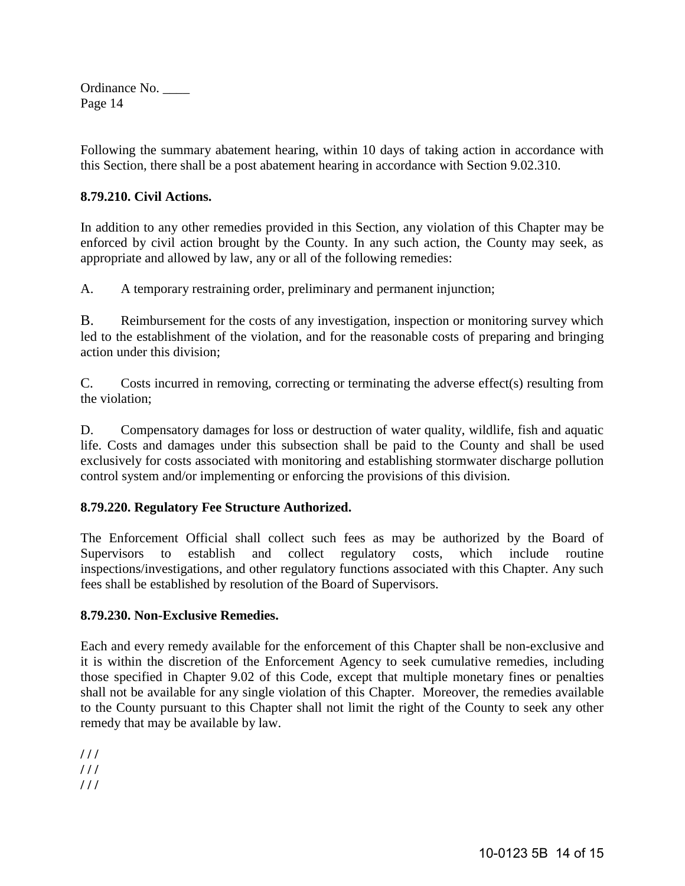Following the summary abatement hearing, within 10 days of taking action in accordance with this Section, there shall be a post abatement hearing in accordance with Section 9.02.310.

# **8.79.210. Civil Actions.**

In addition to any other remedies provided in this Section, any violation of this Chapter may be enforced by civil action brought by the County. In any such action, the County may seek, as appropriate and allowed by law, any or all of the following remedies:

A. A temporary restraining order, preliminary and permanent injunction;

B. Reimbursement for the costs of any investigation, inspection or monitoring survey which led to the establishment of the violation, and for the reasonable costs of preparing and bringing action under this division;

C. Costs incurred in removing, correcting or terminating the adverse effect(s) resulting from the violation;

D. Compensatory damages for loss or destruction of water quality, wildlife, fish and aquatic life. Costs and damages under this subsection shall be paid to the County and shall be used exclusively for costs associated with monitoring and establishing stormwater discharge pollution control system and/or implementing or enforcing the provisions of this division.

# **8.79.220. Regulatory Fee Structure Authorized.**

The Enforcement Official shall collect such fees as may be authorized by the Board of Supervisors to establish and collect regulatory costs, which include routine inspections/investigations, and other regulatory functions associated with this Chapter. Any such fees shall be established by resolution of the Board of Supervisors.

# **8.79.230. Non-Exclusive Remedies.**

Each and every remedy available for the enforcement of this Chapter shall be non-exclusive and it is within the discretion of the Enforcement Agency to seek cumulative remedies, including those specified in Chapter 9.02 of this Code, except that multiple monetary fines or penalties shall not be available for any single violation of this Chapter. Moreover, the remedies available to the County pursuant to this Chapter shall not limit the right of the County to seek any other remedy that may be available by law.

**/ / /** 

**/ / /** 

**/ / /**